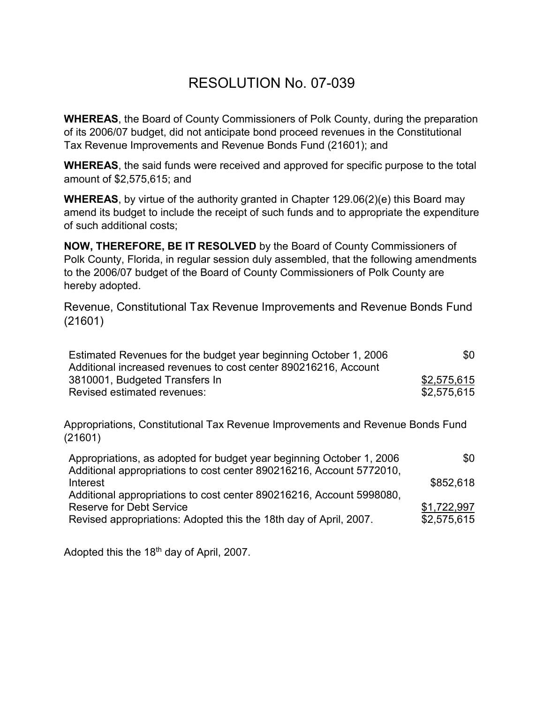## RESOLUTION No. 07-039

**WHEREAS**, the Board of County Commissioners of Polk County, during the preparation of its 2006/07 budget, did not anticipate bond proceed revenues in the Constitutional Tax Revenue Improvements and Revenue Bonds Fund (21601); and

**WHEREAS**, the said funds were received and approved for specific purpose to the total amount of \$2,575,615; and

**WHEREAS**, by virtue of the authority granted in Chapter 129.06(2)(e) this Board may amend its budget to include the receipt of such funds and to appropriate the expenditure of such additional costs;

**NOW, THEREFORE, BE IT RESOLVED** by the Board of County Commissioners of Polk County, Florida, in regular session duly assembled, that the following amendments to the 2006/07 budget of the Board of County Commissioners of Polk County are hereby adopted.

Revenue, Constitutional Tax Revenue Improvements and Revenue Bonds Fund (21601)

| Estimated Revenues for the budget year beginning October 1, 2006 | \$0         |
|------------------------------------------------------------------|-------------|
| Additional increased revenues to cost center 890216216, Account  |             |
| 3810001, Budgeted Transfers In                                   | \$2,575,615 |
| Revised estimated revenues:                                      | \$2,575,615 |

Appropriations, Constitutional Tax Revenue Improvements and Revenue Bonds Fund (21601)

| \$0         |
|-------------|
| \$852,618   |
|             |
| \$1,722,997 |
| \$2,575,615 |
|             |

Adopted this the 18<sup>th</sup> day of April, 2007.